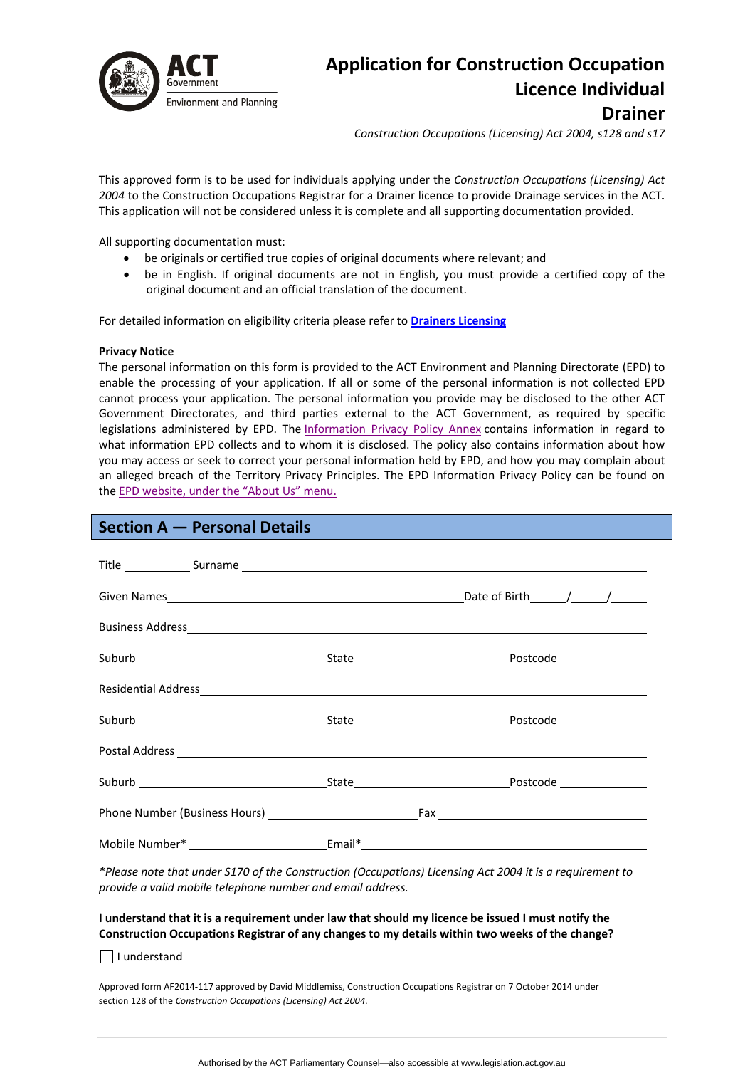

# **Application for Construction Occupation Licence Individual Drainer**

*Construction Occupations (Licensing) Act 2004, s128 and s17*

This approved form is to be used for individuals applying under the *Construction Occupations (Licensing) Act 2004* to the Construction Occupations Registrar for a Drainer licence to provide Drainage services in the ACT. This application will not be considered unless it is complete and all supporting documentation provided.

All supporting documentation must:

- be originals or certified true copies of original documents where relevant; and
- be in English. If original documents are not in English, you must provide a certified copy of the original document and an official translation of the document.

For detailed information on eligibility criteria please refer to **Drainers [Licensing](http://www.actpla.act.gov.au/topics/hiring_licensing/licence_registration/plumbers_drainers)**

#### **Privacy Notice**

The personal information on this form is provided to the ACT Environment and Planning Directorate (EPD) to enable the processing of your application. If all or some of the personal information is not collected EPD cannot process your application. The personal information you provide may be disclosed to the other ACT Government Directorates, and third parties external to the ACT Government, as required by specific legislations administered by EPD. The [Information](http://www.environment.act.gov.au/__data/assets/pdf_file/0006/633741/Information-Privacy-Policy-Annex.pdf) Privacy Policy Annex contains information in regard to what information EPD collects and to whom it is disclosed. The policy also contains information about how you may access or seek to correct your personal information held by EPD, and how you may complain about an alleged breach of the Territory Privacy Principles. The EPD Information Privacy Policy can be found on the EPD [website,](http://www.environment.act.gov.au/about/privacy) under the "About Us" menu.

# **Section A — Personal Details**

| Postal Address experience and the contract of the contract of the contract of the contract of the contract of the contract of the contract of the contract of the contract of the contract of the contract of the contract of |  |
|-------------------------------------------------------------------------------------------------------------------------------------------------------------------------------------------------------------------------------|--|
|                                                                                                                                                                                                                               |  |
|                                                                                                                                                                                                                               |  |
|                                                                                                                                                                                                                               |  |

*\*Please note that under S170 of the Construction (Occupations) Licensing Act 2004 it is a requirement to provide a valid mobile telephone number and email address.* 

### I understand that it is a requirement under law that should my licence be issued I must notify the **Construction Occupations Registrar of any changes to my details within two weeks of the change?**

| | understand

Approved form AF2014‐117 approved by David Middlemiss, Construction Occupations Registrar on 7 October 2014 under section 128 of the *Construction Occupations (Licensing) Act 2004*.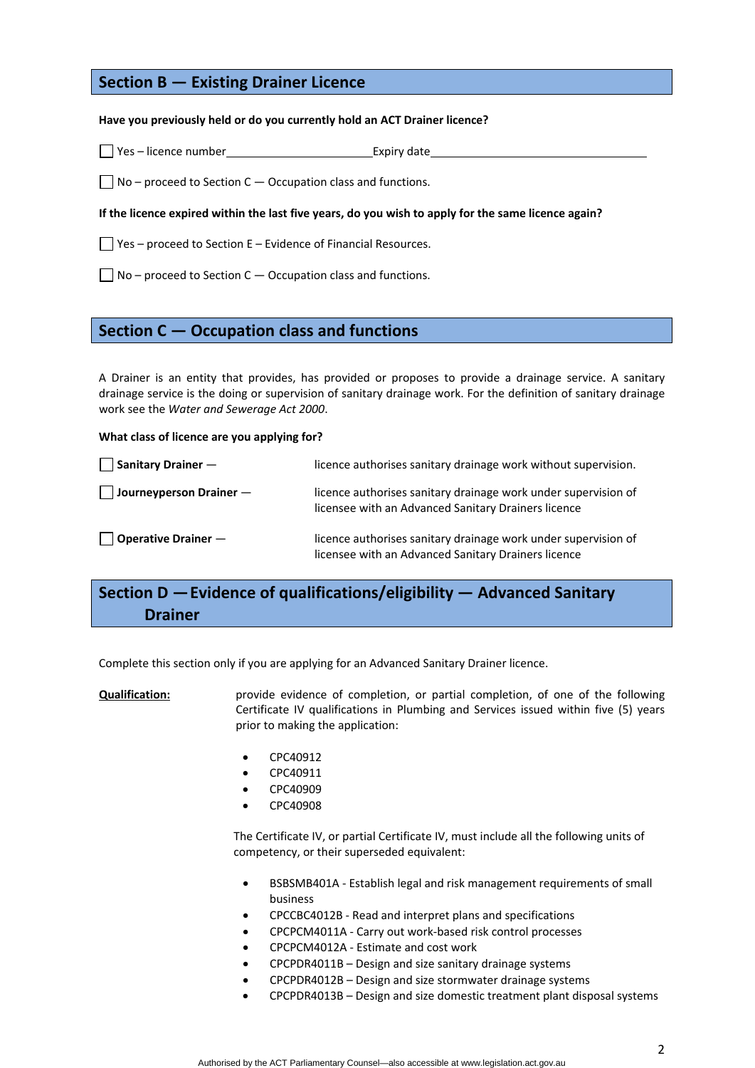# **Section B — Existing Drainer Licence**

### **Have you previously held or do you currently hold an ACT Drainer licence?**

□ Yes – licence number Expiry date

 $\Box$  No – proceed to Section C – Occupation class and functions.

#### If the licence expired within the last five years, do you wish to apply for the same licence again?

 $\Box$  Yes – proceed to Section E – Evidence of Financial Resources.

 $\Box$  No – proceed to Section C – Occupation class and functions.

## **Section C — Occupation class and functions**

A Drainer is an entity that provides, has provided or proposes to provide a drainage service. A sanitary drainage service is the doing or supervision of sanitary drainage work. For the definition of sanitary drainage work see the *Water and Sewerage Act 2000*.

#### **What class of licence are you applying for?**

| $\Box$ Sanitary Drainer $\Box$   | licence authorises sanitary drainage work without supervision.                                                        |
|----------------------------------|-----------------------------------------------------------------------------------------------------------------------|
| $\Box$ Journeyperson Drainer $-$ | licence authorises sanitary drainage work under supervision of<br>licensee with an Advanced Sanitary Drainers licence |
| $\vert$   Operative Drainer $-$  | licence authorises sanitary drainage work under supervision of<br>licensee with an Advanced Sanitary Drainers licence |

# **Section D —Evidence of qualifications/eligibility — Advanced Sanitary Drainer**

Complete this section only if you are applying for an Advanced Sanitary Drainer licence.

### **Qualification:** provide evidence of completion, or partial completion, of one of the following Certificate IV qualifications in Plumbing and Services issued within five (5) years prior to making the application:

- CPC40912
- CPC40911
- CPC40909
- CPC40908

The Certificate IV, or partial Certificate IV, must include all the following units of competency, or their superseded equivalent:

- BSBSMB401A Establish legal and risk management requirements of small business
- CPCCBC4012B ‐ Read and interpret plans and specifications
- CPCPCM4011A ‐ Carry out work‐based risk control processes
- CPCPCM4012A ‐ Estimate and cost work
- CPCPDR4011B Design and size sanitary drainage systems
- CPCPDR4012B Design and size stormwater drainage systems
- CPCPDR4013B Design and size domestic treatment plant disposal systems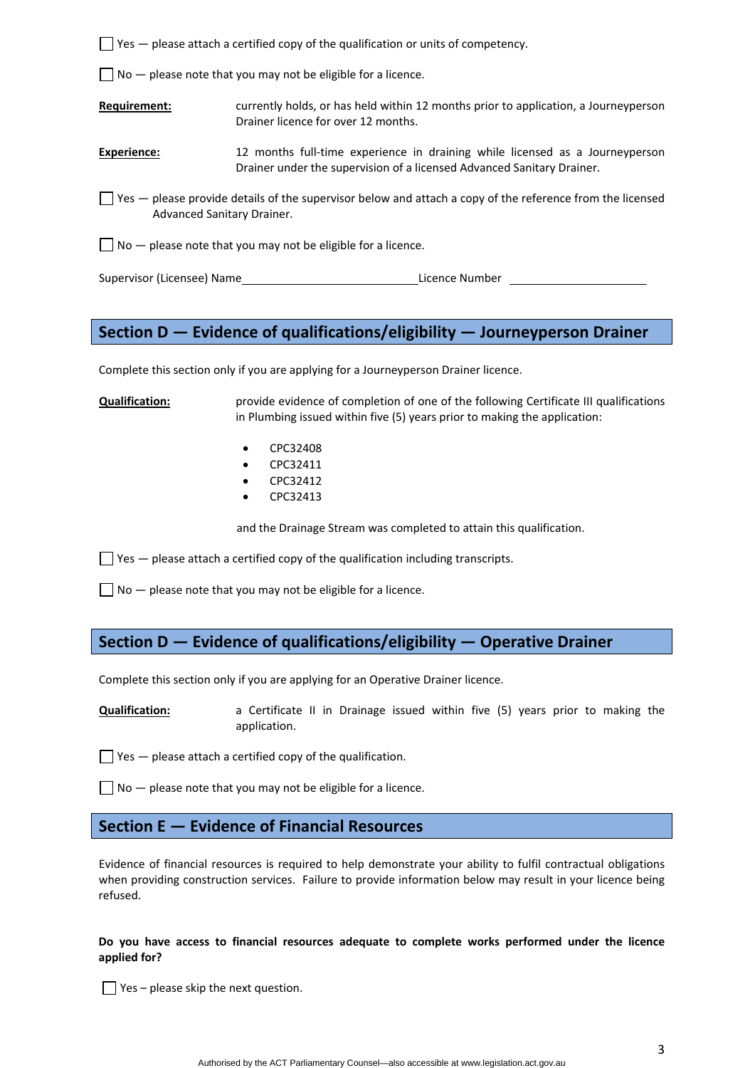$\Box$  Yes  $-$  please attach a certified copy of the qualification or units of competency.

 $\Box$  No  $-$  please note that you may not be eligible for a licence.

**Requirement:** currently holds, or has held within 12 months prior to application, a Journeyperson Drainer licence for over 12 months.

- **Experience:** 12 months full-time experience in draining while licensed as a Journeyperson Drainer under the supervision of a licensed Advanced Sanitary Drainer.
- $\Box$  Yes please provide details of the supervisor below and attach a copy of the reference from the licensed Advanced Sanitary Drainer.
- $\Box$  No  $-$  please note that you may not be eligible for a licence.

Supervisor (Licensee) Name Licence Number

# **Section D — Evidence of qualifications/eligibility — Journeyperson Drainer**

Complete this section only if you are applying for a Journeyperson Drainer licence.

**Qualification:** provide evidence of completion of one of the following Certificate III qualifications in Plumbing issued within five (5) years prior to making the application:

- CPC32408
- CPC32411
- CPC32412
- CPC32413

and the Drainage Stream was completed to attain this qualification.

 $\Box$  Yes  $-$  please attach a certified copy of the qualification including transcripts.

 $\Box$  No  $-$  please note that you may not be eligible for a licence.

# **Section D — Evidence of qualifications/eligibility — Operative Drainer**

Complete this section only if you are applying for an Operative Drainer licence.

**Qualification:** a Certificate II in Drainage issued within five (5) years prior to making the application.

 $\Box$  Yes  $-$  please attach a certified copy of the qualification.

 $\Box$  No  $-$  please note that you may not be eligible for a licence.

### **Section E — Evidence of Financial Resources**

Evidence of financial resources is required to help demonstrate your ability to fulfil contractual obligations when providing construction services. Failure to provide information below may result in your licence being refused.

### **Do you have access to financial resources adequate to complete works performed under the licence applied for?**

 $\Box$  Yes – please skip the next question.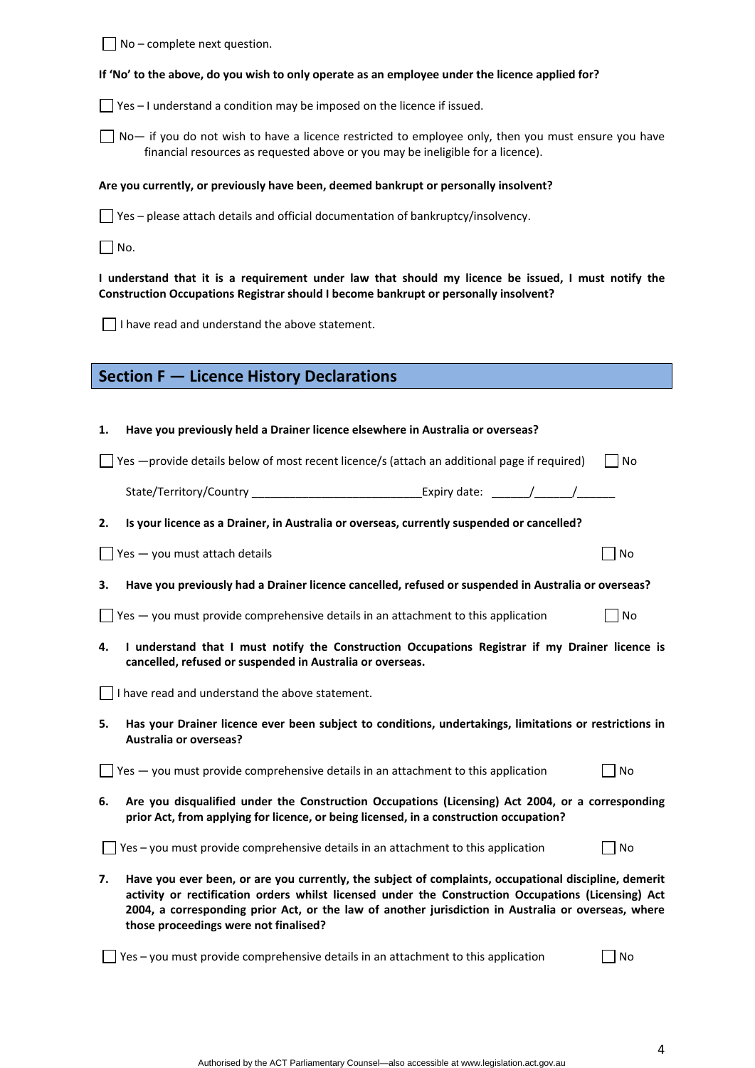$\Box$  No – complete next question.

### If 'No' to the above, do you wish to only operate as an employee under the licence applied for?

 $\Box$  Yes – I understand a condition may be imposed on the licence if issued.

 $\Box$  No— if you do not wish to have a licence restricted to employee only, then you must ensure you have financial resources as requested above or you may be ineligible for a licence).

### **Are you currently, or previously have been, deemed bankrupt or personally insolvent?**

 $\Box$  Yes – please attach details and official documentation of bankruptcy/insolvency.

 $\Box$  No.

I understand that it is a requirement under law that should my licence be issued, I must notify the **Construction Occupations Registrar should I become bankrupt or personally insolvent?** 

 $\Box$  I have read and understand the above statement.

| Have you previously held a Drainer licence elsewhere in Australia or overseas? |  |  |  |  |
|--------------------------------------------------------------------------------|--|--|--|--|
|--------------------------------------------------------------------------------|--|--|--|--|

 $\Box$  Yes —provide details below of most recent licence/s (attach an additional page if required)  $\Box$  No

| State/Territory/Country | Expiry date |  |  |  |
|-------------------------|-------------|--|--|--|
|-------------------------|-------------|--|--|--|

**2. Is your licence as a Drainer, in Australia or overseas, currently suspended or cancelled?** 

 $\Box$  Yes — you must attach details  $\Box$  No

3. Have you previously had a Drainer licence cancelled, refused or suspended in Australia or overseas?

- $\Box$  Yes you must provide comprehensive details in an attachment to this application  $\Box$  No
- **4. I understand that I must notify the Construction Occupations Registrar if my Drainer licence is cancelled, refused or suspended in Australia or overseas.**

 $\Box$  I have read and understand the above statement.

**5. Has your Drainer licence ever been subject to conditions, undertakings, limitations or restrictions in Australia or overseas?** 

 $\Box$  Yes — you must provide comprehensive details in an attachment to this application  $\Box$  No

**6. Are you disqualified under the Construction Occupations (Licensing) Act 2004, or a corresponding prior Act, from applying for licence, or being licensed, in a construction occupation?** 

 $\Box$  Yes – you must provide comprehensive details in an attachment to this application  $\Box$  No

**7. Have you ever been, or are you currently, the subject of complaints, occupational discipline, demerit activity or rectification orders whilst licensed under the Construction Occupations (Licensing) Act 2004, a corresponding prior Act, or the law of another jurisdiction in Australia or overseas, where those proceedings were not finalised?** 

 $\Box$  Yes – you must provide comprehensive details in an attachment to this application  $\Box$  No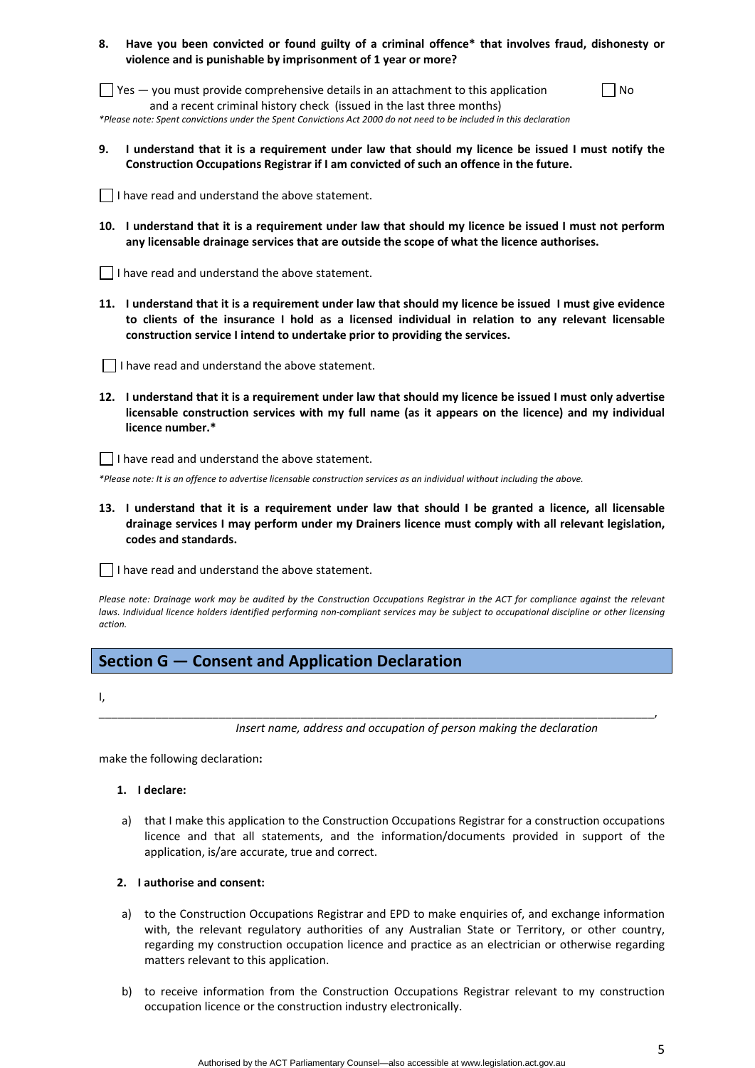### **8. Have you been convicted or found guilty of a criminal offence\* that involves fraud, dishonesty or violence and is punishable by imprisonment of 1 year or more?**

 $\Box$  Yes  $-$  you must provide comprehensive details in an attachment to this application and a recent criminal history check (issued in the last three months) \*Please note: Spent convictions under the Spent Convictions Act 2000 do not need to be included in this declaration

| M.<br>۹ |
|---------|
|---------|

9. I understand that it is a requirement under law that should my licence be issued I must notify the **Construction Occupations Registrar if I am convicted of such an offence in the future.** 

| I have read and understand the above statement. |
|-------------------------------------------------|
|-------------------------------------------------|

10. I understand that it is a requirement under law that should my licence be issued I must not perform **any licensable drainage services that are outside the scope of what the licence authorises.** 

I have read and understand the above statement.

11. I understand that it is a requirement under law that should my licence be issued I must give evidence **to clients of the insurance I hold as a licensed individual in relation to any relevant licensable construction service I intend to undertake prior to providing the services.** 

 $\Box$  I have read and understand the above statement.

12. I understand that it is a requirement under law that should my licence be issued I must only advertise **licensable construction services with my full name (as it appears on the licence) and my individual licence number.\*** 

 $\vert \ \vert$  I have read and understand the above statement.

\*Please note: It is an offence to advertise licensable construction services as an individual without including the above.

13. I understand that it is a requirement under law that should I be granted a licence, all licensable **drainage services I may perform under my Drainers licence must comply with all relevant legislation, codes and standards.** 

 $\vert \ \vert$  I have read and understand the above statement.

Please note: Drainage work may be audited by the Construction Occupations Registrar in the ACT for compliance against the relevant laws. Individual licence holders identified performing non-compliant services may be subject to occupational discipline or other licensing *action.*

\_\_\_\_\_\_\_\_\_\_\_\_\_\_\_\_\_\_\_\_\_\_\_\_\_\_\_\_\_\_\_\_\_\_\_\_\_\_\_\_\_\_\_\_\_\_\_\_\_\_\_\_\_\_\_\_\_\_\_\_\_\_\_\_\_\_\_\_\_\_\_\_\_\_\_\_\_\_\_\_\_\_\_\_\_\_\_\_,

# **Section G — Consent and Application Declaration**

I,

*Insert name, address and occupation of person making the declaration*

make the following declaration**:**

#### **1. I declare:**

a) that I make this application to the Construction Occupations Registrar for a construction occupations licence and that all statements, and the information/documents provided in support of the application, is/are accurate, true and correct.

#### **2. I authorise and consent:**

- a) to the Construction Occupations Registrar and EPD to make enquiries of, and exchange information with, the relevant regulatory authorities of any Australian State or Territory, or other country, regarding my construction occupation licence and practice as an electrician or otherwise regarding matters relevant to this application.
- b) to receive information from the Construction Occupations Registrar relevant to my construction occupation licence or the construction industry electronically.